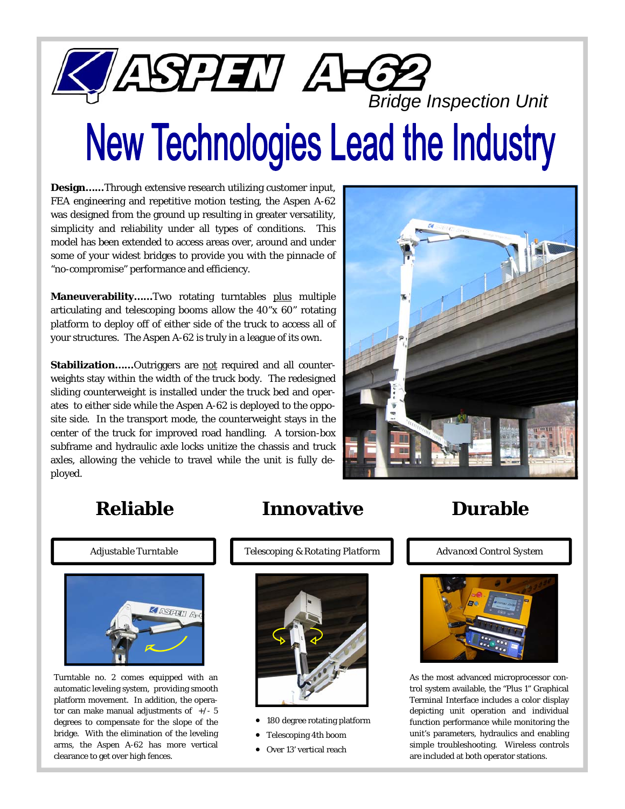

# New Technologies Lead the Industry

**Design…...**Through extensive research utilizing customer input, FEA engineering and repetitive motion testing, the Aspen A-62 was designed from the ground up resulting in greater versatility, simplicity and reliability under all types of conditions. This model has been extended to access areas over, around and under some of your widest bridges to provide you with the pinnacle of "no-compromise" performance and efficiency.

**Maneuverability......**Two rotating turntables plus multiple articulating and telescoping booms allow the 40"x 60" rotating platform to deploy off of either side of the truck to access all of your structures. The Aspen A-62 is truly in a league of its own.

**Stabilization......**Outriggers are not required and all counterweights stay within the width of the truck body. The redesigned sliding counterweight is installed under the truck bed and operates to either side while the Aspen A-62 is deployed to the opposite side. In the transport mode, the counterweight stays in the center of the truck for improved road handling. A torsion-box subframe and hydraulic axle locks unitize the chassis and truck axles, allowing the vehicle to travel while the unit is fully deployed.





Turntable no. 2 comes equipped with an automatic leveling system, providing smooth platform movement. In addition, the operator can make manual adjustments of  $+/- 5$ degrees to compensate for the slope of the bridge. With the elimination of the leveling arms, the Aspen A-62 has more vertical clearance to get over high fences.

# **Reliable Innovative Durable**

### *Adjustable Turntable* Telescoping & Rotating Platform **Advanced Control System**



- 180 degree rotating platform
- Telescoping 4th boom
- Over 13' vertical reach



As the most advanced microprocessor control system available, the "Plus 1" Graphical Terminal Interface includes a color display depicting unit operation and individual function performance while monitoring the unit's parameters, hydraulics and enabling simple troubleshooting. Wireless controls are included at both operator stations.